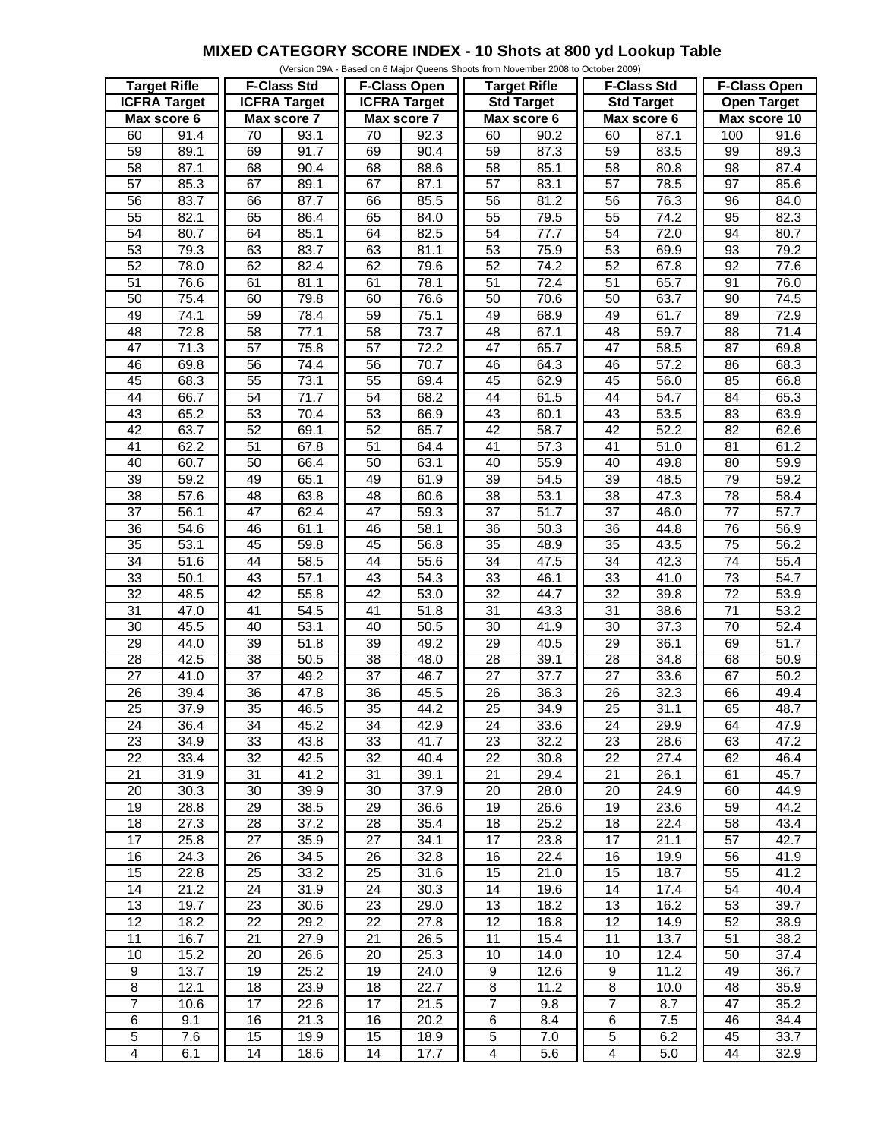## **MIXED CATEGORY SCORE INDEX - 10 Shots at 800 yd Lookup Table**

|                         |      |                     |      |                     |                   | (Version 09A - Based on 6 Major Queens Shoots from November 2008 to October 2009) |                   |                         |                   |                     |                   |
|-------------------------|------|---------------------|------|---------------------|-------------------|-----------------------------------------------------------------------------------|-------------------|-------------------------|-------------------|---------------------|-------------------|
| <b>Target Rifle</b>     |      | <b>F-Class Std</b>  |      | <b>F-Class Open</b> |                   | <b>Target Rifle</b>                                                               |                   | <b>F-Class Std</b>      |                   | <b>F-Class Open</b> |                   |
| <b>ICFRA Target</b>     |      | <b>ICFRA Target</b> |      | <b>ICFRA</b> Target |                   | <b>Std Target</b>                                                                 |                   | <b>Std Target</b>       |                   | <b>Open Target</b>  |                   |
| Max score 6             |      | Max score 7         |      | Max score 7         |                   | Max score 6                                                                       |                   | Max score 6             |                   | Max score 10        |                   |
| 60                      | 91.4 | 70                  | 93.1 | 70                  | 92.3              | 60                                                                                | 90.2              | 60                      | 87.1              | 100                 | 91.6              |
| 59                      | 89.1 | 69                  | 91.7 | 69                  | 90.4              | 59                                                                                | 87.3              | 59                      | 83.5              | 99                  | 89.3              |
| 58                      | 87.1 | 68                  | 90.4 | 68                  | 88.6              | 58                                                                                | 85.1              | 58                      | 80.8              | 98                  | 87.4              |
|                         |      |                     |      |                     |                   |                                                                                   |                   |                         |                   |                     |                   |
| $\overline{57}$         | 85.3 | 67                  | 89.1 | 67                  | 87.1              | $\overline{57}$                                                                   | 83.1              | $\overline{57}$         | 78.5              | $\overline{97}$     | 85.6              |
| 56                      | 83.7 | 66                  | 87.7 | 66                  | 85.5              | 56                                                                                | 81.2              | 56                      | 76.3              | 96                  | 84.0              |
| 55                      | 82.1 | 65                  | 86.4 | 65                  | 84.0              | 55                                                                                | 79.5              | 55                      | 74.2              | 95                  | 82.3              |
| 54                      | 80.7 | 64                  | 85.1 | 64                  | 82.5              | 54                                                                                | 77.7              | 54                      | 72.0              | 94                  | 80.7              |
| 53                      | 79.3 | 63                  | 83.7 | 63                  | 81.1              | 53                                                                                | 75.9              | 53                      | 69.9              | 93                  | 79.2              |
| 52                      | 78.0 | 62                  | 82.4 | 62                  | 79.6              | 52                                                                                | 74.2              | $\overline{52}$         | 67.8              | $\overline{92}$     | 77.6              |
| $\overline{51}$         | 76.6 | 61                  | 81.1 | 61                  | 78.1              | $\overline{51}$                                                                   | 72.4              | $\overline{51}$         | 65.7              | 91                  | 76.0              |
| 50                      | 75.4 | 60                  | 79.8 | 60                  | 76.6              | 50                                                                                | 70.6              | 50                      | 63.7              | 90                  | 74.5              |
| 49                      | 74.1 | 59                  | 78.4 | 59                  | 75.1              | 49                                                                                | 68.9              | 49                      | 61.7              | 89                  | 72.9              |
| 48                      | 72.8 | 58                  | 77.1 | 58                  | 73.7              | 48                                                                                | 67.1              | 48                      | 59.7              | 88                  | 71.4              |
| 47                      | 71.3 | 57                  | 75.8 | $\overline{57}$     | 72.2              | $\overline{47}$                                                                   | 65.7              | 47                      |                   | $\overline{87}$     |                   |
|                         |      |                     |      |                     |                   |                                                                                   |                   |                         | 58.5              |                     | 69.8              |
| 46                      | 69.8 | 56                  | 74.4 | $\overline{56}$     | 70.7              | 46                                                                                | 64.3              | 46                      | $\overline{57.2}$ | 86                  | 68.3              |
| 45                      | 68.3 | 55                  | 73.1 | 55                  | 69.4              | 45                                                                                | 62.9              | 45                      | 56.0              | 85                  | 66.8              |
| 44                      | 66.7 | $\overline{54}$     | 71.7 | $\overline{54}$     | 68.2              | 44                                                                                | 61.5              | 44                      | $\overline{54.7}$ | 84                  | 65.3              |
| 43                      | 65.2 | 53                  | 70.4 | 53                  | 66.9              | 43                                                                                | 60.1              | 43                      | 53.5              | 83                  | 63.9              |
| 42                      | 63.7 | 52                  | 69.1 | 52                  | 65.7              | $\overline{42}$                                                                   | $\overline{58.7}$ | $\overline{42}$         | 52.2              | $\overline{82}$     | 62.6              |
| $\overline{41}$         | 62.2 | 51                  | 67.8 | 51                  | 64.4              | $\overline{41}$                                                                   | 57.3              | $\overline{41}$         | $\overline{51.0}$ | 81                  | 61.2              |
| 40                      | 60.7 | $\overline{50}$     | 66.4 | 50                  | 63.1              | 40                                                                                | 55.9              | 40                      | 49.8              | 80                  | 59.9              |
| $\overline{39}$         | 59.2 | 49                  | 65.1 | 49                  | 61.9              | $\overline{39}$                                                                   | 54.5              | $\overline{39}$         | 48.5              | 79                  | 59.2              |
| 38                      |      | 48                  |      |                     |                   | 38                                                                                | 53.1              | 38                      |                   | 78                  |                   |
|                         | 57.6 |                     | 63.8 | 48                  | 60.6              |                                                                                   |                   |                         | 47.3              |                     | 58.4              |
| $\overline{37}$         | 56.1 | 47                  | 62.4 | $\overline{47}$     | $\overline{59.3}$ | $\overline{37}$                                                                   | $\overline{51.7}$ | $\overline{37}$         | 46.0              | $\overline{77}$     | 57.7              |
| $\overline{36}$         | 54.6 | 46                  | 61.1 | 46                  | 58.1              | 36                                                                                | 50.3              | $\overline{36}$         | 44.8              | $\overline{76}$     | 56.9              |
| 35                      | 53.1 | 45                  | 59.8 | 45                  | 56.8              | 35                                                                                | 48.9              | 35                      | 43.5              | $\overline{75}$     | 56.2              |
| 34                      | 51.6 | 44                  | 58.5 | 44                  | 55.6              | $\overline{34}$                                                                   | 47.5              | $\overline{34}$         | 42.3              | $\overline{74}$     | 55.4              |
| 33                      | 50.1 | 43                  | 57.1 | 43                  | 54.3              | 33                                                                                | 46.1              | 33                      | 41.0              | 73                  | 54.7              |
| $\overline{32}$         | 48.5 | 42                  | 55.8 | 42                  | 53.0              | $\overline{32}$                                                                   | 44.7              | $\overline{32}$         | 39.8              | $\overline{72}$     | 53.9              |
| 31                      | 47.0 | $\overline{41}$     | 54.5 | 41                  | 51.8              | 31                                                                                | 43.3              | 31                      | 38.6              | $\overline{71}$     | 53.2              |
| 30                      | 45.5 | 40                  | 53.1 | 40                  | 50.5              | $\overline{30}$                                                                   | 41.9              | $\overline{30}$         | $\overline{37.3}$ | 70                  | 52.4              |
| $\overline{29}$         | 44.0 | $\overline{39}$     | 51.8 | $\overline{39}$     | 49.2              | $\overline{29}$                                                                   | 40.5              | $\overline{29}$         | 36.1              | 69                  | $\overline{51.7}$ |
| 28                      | 42.5 | 38                  | 50.5 | 38                  | 48.0              | 28                                                                                | 39.1              | 28                      | 34.8              | 68                  | 50.9              |
| $\overline{27}$         |      |                     |      | $\overline{37}$     |                   | $\overline{27}$                                                                   | 37.7              | $\overline{27}$         |                   | 67                  |                   |
|                         | 41.0 | $\overline{37}$     | 49.2 |                     | 46.7              |                                                                                   |                   |                         | 33.6              |                     | 50.2              |
| $\overline{26}$         | 39.4 | $\overline{36}$     | 47.8 | $\overline{36}$     | 45.5              | $\overline{26}$                                                                   | 36.3              | $\overline{26}$         | 32.3              | 66                  | 49.4              |
| $\overline{25}$         | 37.9 | $\overline{35}$     | 46.5 | $\overline{35}$     | 44.2              | $\overline{25}$                                                                   | 34.9              | $\overline{25}$         | 31.1              | 65                  | 48.7              |
| 24                      | 36.4 | 34                  | 45.2 | 34                  | 42.9              | 24                                                                                | 33.6              | 24                      | 29.9              | 64                  | 47.9              |
| 23                      | 34.9 | 33                  | 43.8 | 33                  | 41.7              | 23                                                                                | 32.2              | 23                      | 28.6              | 63                  | 47.2              |
| 22                      | 33.4 | 32                  | 42.5 | 32                  | 40.4              | 22                                                                                | 30.8              | 22                      | 27.4              | 62                  | 46.4              |
| 21                      | 31.9 | 31                  | 41.2 | 31                  | 39.1              | 21                                                                                | 29.4              | 21                      | 26.1              | 61                  | 45.7              |
| 20                      | 30.3 | 30                  | 39.9 | 30                  | 37.9              | 20                                                                                | 28.0              | 20                      | 24.9              | 60                  | 44.9              |
| 19                      | 28.8 | 29                  | 38.5 | 29                  | 36.6              | 19                                                                                | 26.6              | 19                      | 23.6              | 59                  | 44.2              |
| 18                      | 27.3 | 28                  | 37.2 | 28                  | 35.4              | 18                                                                                | 25.2              | 18                      | 22.4              | 58                  | 43.4              |
| $\overline{17}$         |      | 27                  | 35.9 | 27                  |                   | 17                                                                                | 23.8              | 17                      |                   | 57                  | 42.7              |
|                         | 25.8 |                     |      |                     | 34.1              |                                                                                   |                   |                         | 21.1              |                     |                   |
| 16                      | 24.3 | 26                  | 34.5 | 26                  | 32.8              | 16                                                                                | 22.4              | 16                      | 19.9              | 56                  | 41.9              |
| 15                      | 22.8 | 25                  | 33.2 | 25                  | 31.6              | 15                                                                                | 21.0              | 15                      | 18.7              | 55                  | 41.2              |
| 14                      | 21.2 | 24                  | 31.9 | 24                  | 30.3              | 14                                                                                | 19.6              | 14                      | 17.4              | 54                  | 40.4              |
| 13                      | 19.7 | 23                  | 30.6 | 23                  | 29.0              | 13                                                                                | 18.2              | 13                      | 16.2              | 53                  | 39.7              |
| 12                      | 18.2 | 22                  | 29.2 | 22                  | 27.8              | 12                                                                                | 16.8              | 12                      | 14.9              | 52                  | 38.9              |
| 11                      | 16.7 | 21                  | 27.9 | 21                  | 26.5              | 11                                                                                | 15.4              | 11                      | 13.7              | 51                  | 38.2              |
| 10                      | 15.2 | 20                  | 26.6 | 20                  | 25.3              | 10                                                                                | 14.0              | 10                      | 12.4              | 50                  | 37.4              |
| $\boldsymbol{9}$        | 13.7 | 19                  | 25.2 | 19                  | 24.0              | 9                                                                                 | 12.6              | 9                       | 11.2              | 49                  | 36.7              |
|                         |      |                     |      |                     |                   |                                                                                   |                   |                         |                   |                     |                   |
| $\bf 8$                 | 12.1 | 18                  | 23.9 | 18                  | 22.7              | 8                                                                                 | 11.2              | 8                       | 10.0              | 48                  | 35.9              |
| $\overline{7}$          | 10.6 | 17                  | 22.6 | 17                  | 21.5              | $\overline{7}$                                                                    | 9.8               | $\overline{7}$          | 8.7               | 47                  | 35.2              |
| $\,6$                   | 9.1  | 16                  | 21.3 | 16                  | 20.2              | 6                                                                                 | 8.4               | 6                       | 7.5               | 46                  | 34.4              |
| $\mathbf 5$             | 7.6  | 15                  | 19.9 | 15                  | 18.9              | 5                                                                                 | 7.0               | 5                       | 6.2               | 45                  | 33.7              |
| $\overline{\mathbf{4}}$ | 6.1  | 14                  | 18.6 | 14                  | 17.7              | $\overline{\mathbf{4}}$                                                           | 5.6               | $\overline{\mathbf{4}}$ | 5.0               | 44                  | 32.9              |